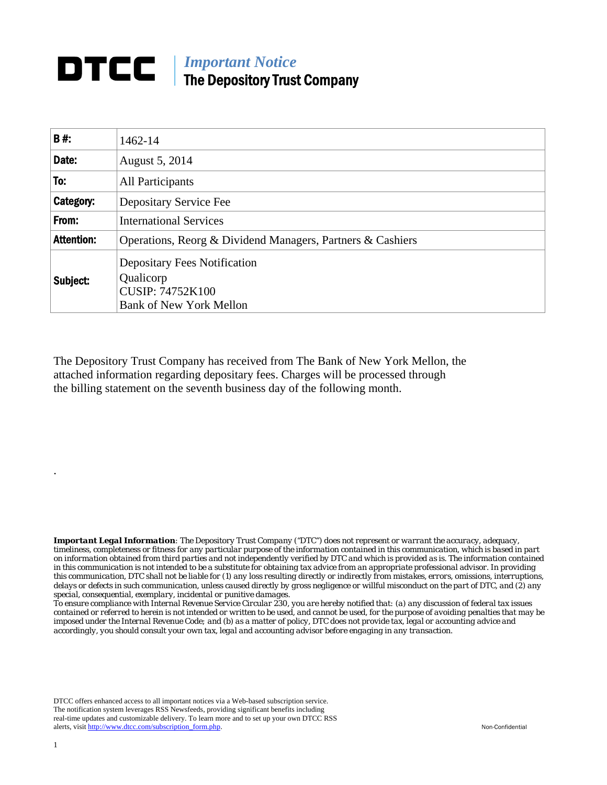## **DTCC** | *Important Notice* The Depository Trust Company

| B#:               | 1462-14                                                                                                       |
|-------------------|---------------------------------------------------------------------------------------------------------------|
| Date:             | August 5, 2014                                                                                                |
| To:               | All Participants                                                                                              |
| Category:         | Depositary Service Fee                                                                                        |
| From:             | <b>International Services</b>                                                                                 |
| <b>Attention:</b> | Operations, Reorg & Dividend Managers, Partners & Cashiers                                                    |
| Subject:          | <b>Depositary Fees Notification</b><br>Qualicorp<br><b>CUSIP: 74752K100</b><br><b>Bank of New York Mellon</b> |

The Depository Trust Company has received from The Bank of New York Mellon, the attached information regarding depositary fees. Charges will be processed through the billing statement on the seventh business day of the following month.

*Important Legal Information: The Depository Trust Company ("DTC") does not represent or warrant the accuracy, adequacy, timeliness, completeness or fitness for any particular purpose of the information contained in this communication, which is based in part on information obtained from third parties and not independently verified by DTC and which is provided as is. The information contained in this communication is not intended to be a substitute for obtaining tax advice from an appropriate professional advisor. In providing this communication, DTC shall not be liable for (1) any loss resulting directly or indirectly from mistakes, errors, omissions, interruptions, delays or defects in such communication, unless caused directly by gross negligence or willful misconduct on the part of DTC, and (2) any special, consequential, exemplary, incidental or punitive damages.* 

*To ensure compliance with Internal Revenue Service Circular 230, you are hereby notified that: (a) any discussion of federal tax issues contained or referred to herein is not intended or written to be used, and cannot be used, for the purpose of avoiding penalties that may be imposed under the Internal Revenue Code; and (b) as a matter of policy, DTC does not provide tax, legal or accounting advice and accordingly, you should consult your own tax, legal and accounting advisor before engaging in any transaction.*

DTCC offers enhanced access to all important notices via a Web-based subscription service. The notification system leverages RSS Newsfeeds, providing significant benefits including real-time updates and customizable delivery. To learn more and to set up your own DTCC RSS alerts, visit http://www.dtcc.com/subscription\_form.php. Non-Confidential

.